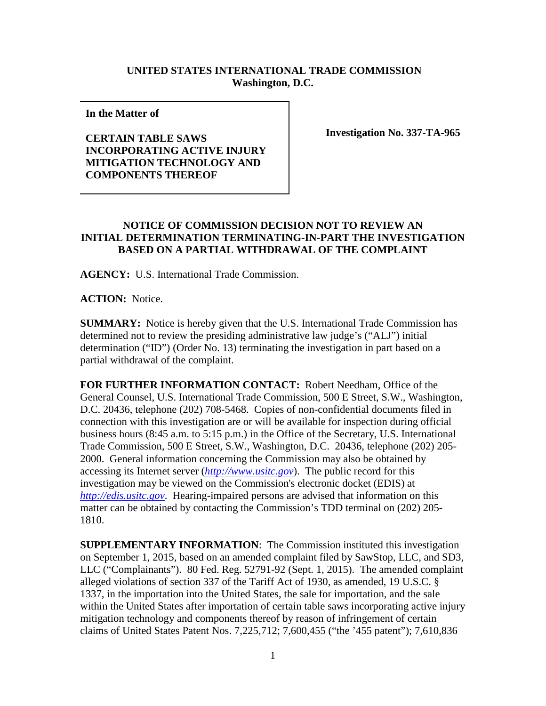## **UNITED STATES INTERNATIONAL TRADE COMMISSION Washington, D.C.**

**In the Matter of** 

## **CERTAIN TABLE SAWS INCORPORATING ACTIVE INJURY MITIGATION TECHNOLOGY AND COMPONENTS THEREOF**

**Investigation No. 337-TA-965**

## **NOTICE OF COMMISSION DECISION NOT TO REVIEW AN INITIAL DETERMINATION TERMINATING-IN-PART THE INVESTIGATION BASED ON A PARTIAL WITHDRAWAL OF THE COMPLAINT**

**AGENCY:** U.S. International Trade Commission.

**ACTION:** Notice.

**SUMMARY:** Notice is hereby given that the U.S. International Trade Commission has determined not to review the presiding administrative law judge's ("ALJ") initial determination ("ID") (Order No. 13) terminating the investigation in part based on a partial withdrawal of the complaint.

**FOR FURTHER INFORMATION CONTACT:** Robert Needham, Office of the General Counsel, U.S. International Trade Commission, 500 E Street, S.W., Washington, D.C. 20436, telephone (202) 708-5468. Copies of non-confidential documents filed in connection with this investigation are or will be available for inspection during official business hours (8:45 a.m. to 5:15 p.m.) in the Office of the Secretary, U.S. International Trade Commission, 500 E Street, S.W., Washington, D.C. 20436, telephone (202) 205- 2000. General information concerning the Commission may also be obtained by accessing its Internet server (*[http://www.usitc.gov](http://www.usitc.gov/)*). The public record for this investigation may be viewed on the Commission's electronic docket (EDIS) at *[http://edis.usitc.gov](http://edis.usitc.gov/)*. Hearing-impaired persons are advised that information on this matter can be obtained by contacting the Commission's TDD terminal on (202) 205- 1810.

**SUPPLEMENTARY INFORMATION**: The Commission instituted this investigation on September 1, 2015, based on an amended complaint filed by SawStop, LLC, and SD3, LLC ("Complainants"). 80 Fed. Reg. 52791-92 (Sept. 1, 2015). The amended complaint alleged violations of section 337 of the Tariff Act of 1930, as amended, 19 U.S.C. § 1337, in the importation into the United States, the sale for importation, and the sale within the United States after importation of certain table saws incorporating active injury mitigation technology and components thereof by reason of infringement of certain claims of United States Patent Nos. 7,225,712; 7,600,455 ("the '455 patent"); 7,610,836